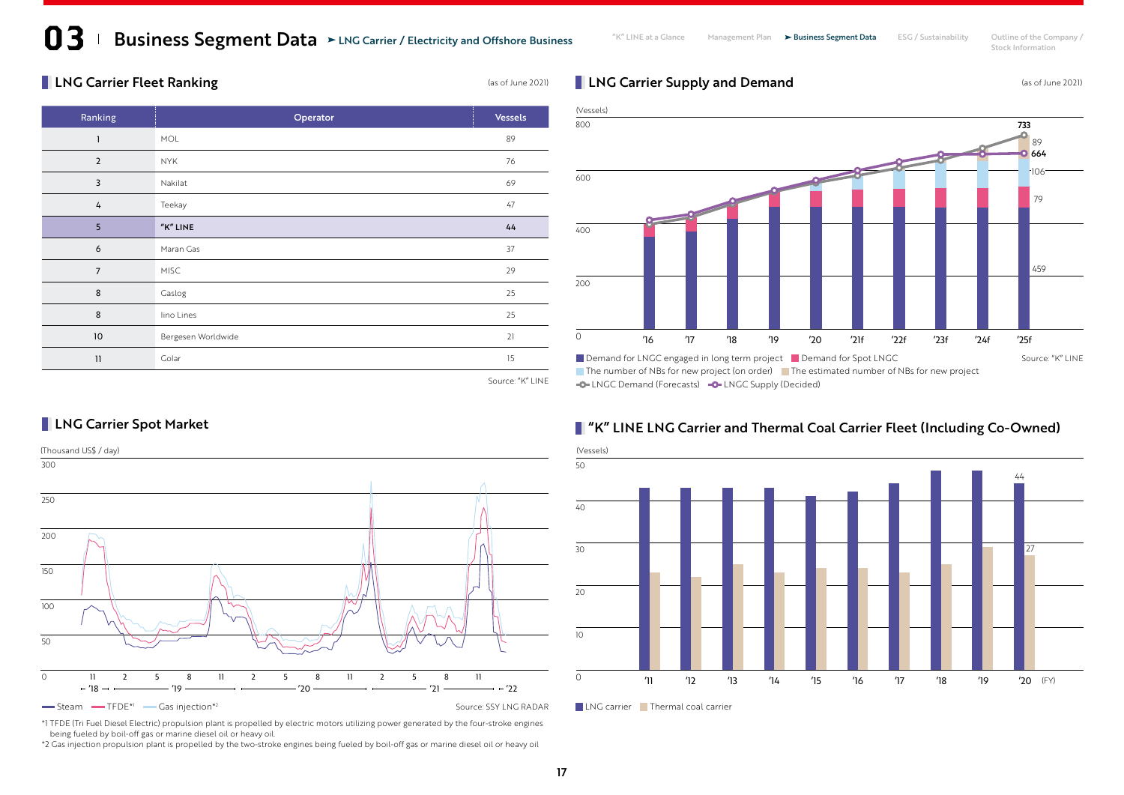### Business Segment Data > LNG Carrier / Electricity and Offshore Business Management Plan > Business Segment Data ESG / Sustainability Outline of the Company / Stock Information

#### **LNG Carrier Fleet Ranking Carrier Fleet Ranking Case of June 2021**

**LNG Carrier Spot Market** 

| Ranking        | Operator           | <b>Vessels</b> |
|----------------|--------------------|----------------|
| $\mathbf{1}$   | <b>MOL</b>         | 89             |
| $\overline{2}$ | <b>NYK</b>         | 76             |
| 3              | Nakilat            | 69             |
| 4              | Teekay             | 47             |
| 5              | "K" LINE           | 44             |
| 6              | Maran Gas          | 37             |
| $\overline{7}$ | <b>MISC</b>        | 29             |
| $\,8\,$        | Gaslog             | 25             |
| 8              | lino Lines         | 25             |
| $10$           | Bergesen Worldwide | 21             |
| 11             | Golar              | 15             |

**LNG Carrier Supply and Demand** (as of June 2021)



**-O-LNGC Demand (Forecasts) -O-LNGC Supply (Decided)** 

### Steam TFDE\*1 Gas injection\*2 Carrier 1 Carrier 1 Carrier 1 Gas injection\*2 Source: SSY LNG RADAR Internal carrier Intermal coal carrier (Thousand US\$ / day) 0 (FY) 12 13 14 15 16 17 18 19 12 12 13 14 15 16 17 18 19 12 12 11 12 13 14 15 16 '18 -- — — — '19 — — — — — — '20 — — — — — — '21 — — — – '22

#### **T** "K" LINE LNG Carrier and Thermal Coal Carrier Fleet (Including Co-Owned)





\*1 TFDE (Tri Fuel Diesel Electric) propulsion plant is propelled by electric motors utilizing power generated by the four-stroke engines being fueled by boil-off gas or marine diesel oil or heavy oil.

\*2 Gas injection propulsion plant is propelled by the two-stroke engines being fueled by boil-off gas or marine diesel oil or heavy oil

Source: "K" LINE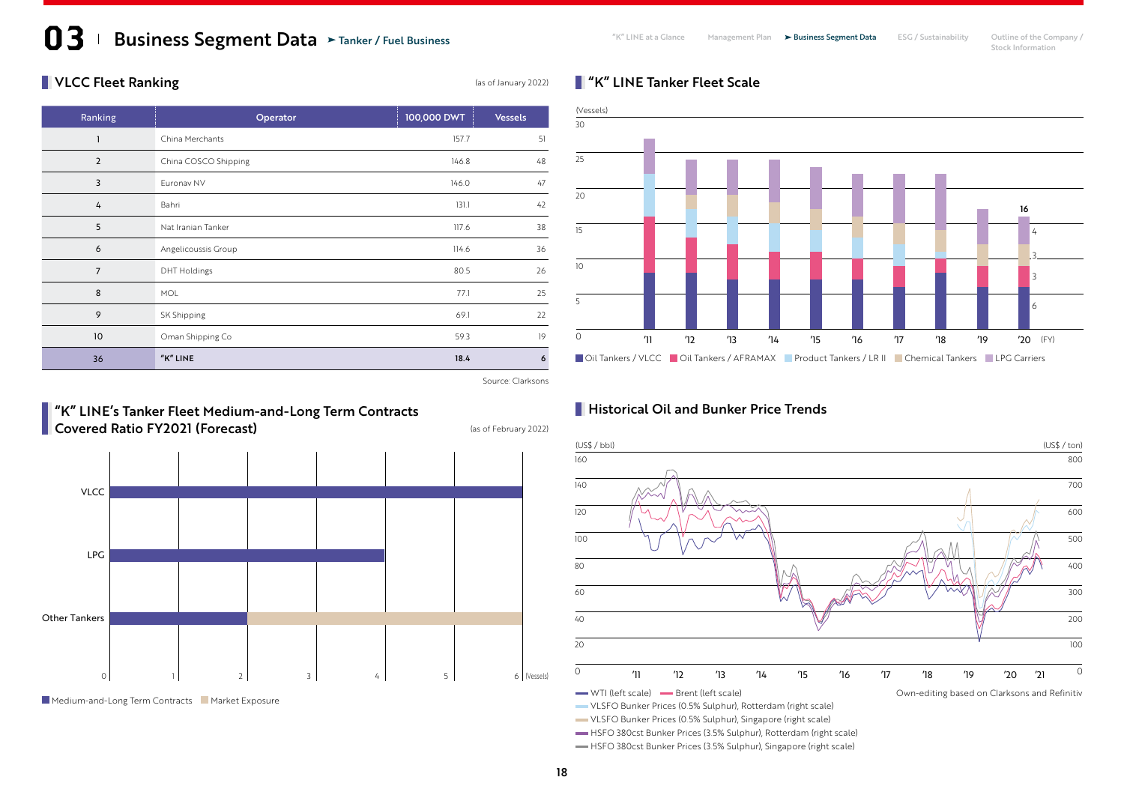## Business Segment Data > Tanker / Fuel Business **Segment Plan Alta Clance** Management Plan > Business Segment Data ESG / Sustainability Outline of the Company / Stock Information

#### $\blacksquare$  VLCC Fleet Ranking

| Ranking        | Operator             | 100,000 DWT | <b>Vessels</b> |
|----------------|----------------------|-------------|----------------|
| $\overline{1}$ | China Merchants      | 157.7       | 51             |
| $\overline{2}$ | China COSCO Shipping | 146.8       | 48             |
| 3              | Euronav NV           | 146.0       | 47             |
| 4              | Bahri                | 131.1       | 42             |
| 5              | Nat Iranian Tanker   | 117.6       | 38             |
| 6              | Angelicoussis Group  | 114.6       | 36             |
| $\overline{7}$ | <b>DHT Holdings</b>  | 80.5        | 26             |
| 8              | MOL                  | 77.1        | 25             |
| 9              | SK Shipping          | 69.1        | 22             |
| 10             | Oman Shipping Co     | 59.3        | 19             |
| 36             | "K" LINE             | 18.4        | 6              |

#### Oil Tankers / VLCC Oil Tankers / AFRAMAX Product Tankers / LR II Chemical Tankers LPG Carriers  $\overline{20}$  (Vessels) '11 '12 '13 '14 '15 '16 '17 '18 '19 '20 (FY)

#### Source: Clarksons

#### "K" LINE's Tanker Fleet Medium-and-Long Term Contracts **Covered Ratio FY2021 (Forecast)** (as of February 2022)



Medium-and-Long Term Contracts Market Exposure

#### **Historical Oil and Bunker Price Trends**

**N** "K" LINE Tanker Fleet Scale



VLSFO Bunker Prices (0.5% Sulphur), Rotterdam (right scale)

VLSFO Bunker Prices (0.5% Sulphur), Singapore (right scale)

HSFO 380cst Bunker Prices (3.5% Sulphur), Rotterdam (right scale)

HSFO 380cst Bunker Prices (3.5% Sulphur), Singapore (right scale)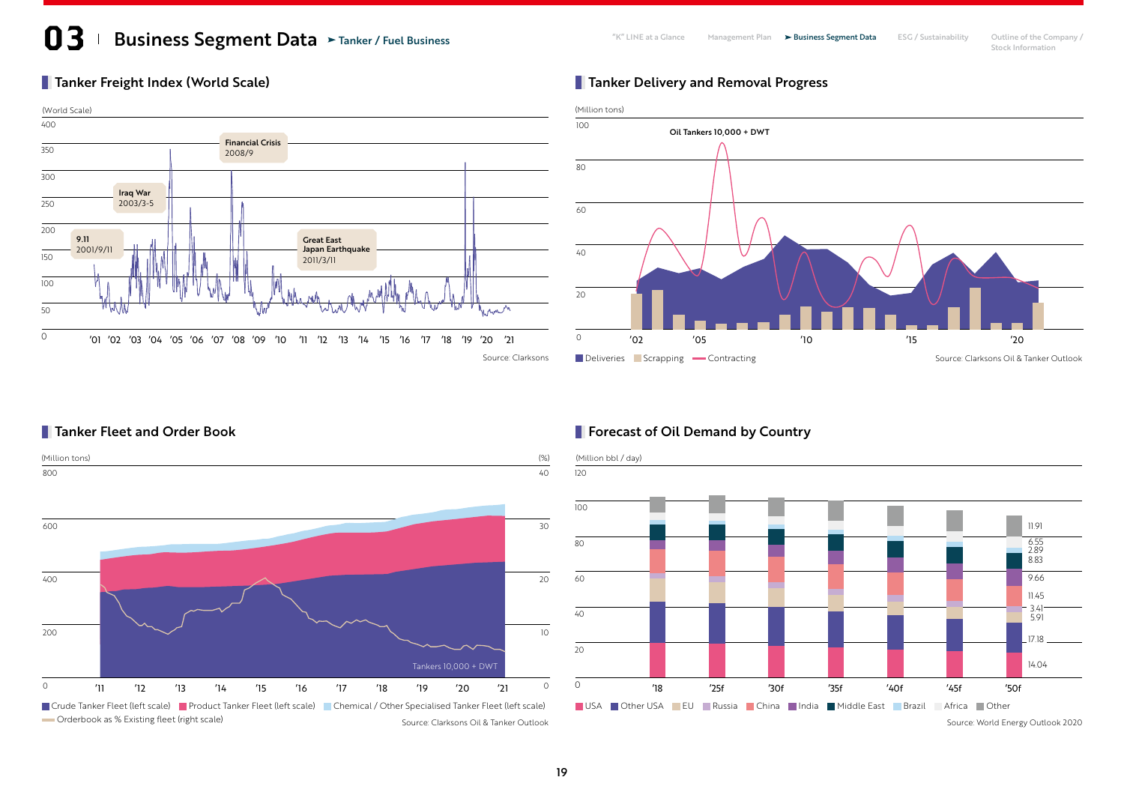# **13** Business Segment Data > Tanker / Fuel Business **Segment Plan Alta Clance** Management Plan > Business Segment Data ESG / Sustainability Outline of the Company / Stock Information

#### Tanker Freight Index (World Scale)



#### **Tanker Delivery and Removal Progress**



#### **Tanker Fleet and Order Book**



#### **Forecast of Oil Demand by Country**